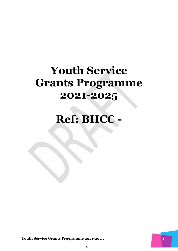# **Youth Service Grants Programme 2021-2025**

# **Ref: BHCC -**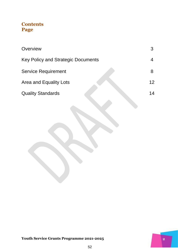### **Contents Page**

| Overview                                  |    |
|-------------------------------------------|----|
| <b>Key Policy and Strategic Documents</b> |    |
| <b>Service Requirement</b>                | 8  |
| Area and Equality Lots                    | 12 |
| <b>Quality Standards</b>                  | 14 |
|                                           |    |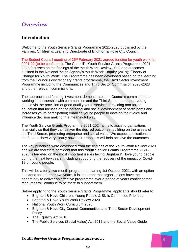## **Overview**

### **Introduction**

Welcome to the Youth Service Grants Programme 2021-2025 published by the Families, Children & Learning Directorate of Brighton & Hove City Council.

The Budget Council meeting of 25<sup>th</sup> February 2021 agreed funding for youth work for 2021-22 (to be confirmed). The Council's Youth Service Grants Programme 2021- 2025 focusses on the findings of the Youth Work Review 2020 and outcomes outlined in the National Youth Agency's Youth Work Enquiry (2019); 'Theory of Change for Youth Work'. The Programme has been developed based on the learning from the Council's discretionary grants programme, the Third Sector Investment Programme including the Communities and Third Sector Commission 2020-2023 and other relevant commissions.

The approach and funding investment demonstrates the Council's commitment to working in partnership with communities and the Third Sector to support young people via the provision of good quality youth services; providing non-formal education that focuses on the personal and social development of participants and increases youth participation; enabling young people to develop their voice and influence decision making in a meaningful way.

The Youth Service Grants Programme 2021-2024 aims to assist organisations financially so that they can deliver the desired outcomes, building on the assets of the Third Sector, promoting enterprise and social value. We expect applications to the fund to show very clearly how their proposals will help achieve the outcomes.

The key principles were developed from the findings of the Youth Work Review 2020 and we are therefore confident that this Youth Service Grants Programme 2021- 2025 is targeted on the most important issues facing Brighton & Hove young people during the next few years, including supporting the recovery of the impact of Covid-19 on young people.

This will be a forty-two-month programme, starting 1st October 2021, with an option to extend for a further two years. It is important that organisations have the opportunity to deliver an effective programme over a period of years confident that resources will continue to be there to support them.

Before applying to the Youth Service Grants Programme, applicants should refer to:

- Brighton & Hove Children, Young People & Skills Committee Priorities
- Brighton & Hove Youth Work Review 2020
- National Youth Work Curriculum 2020
- Brighton & Hove City Council Communities and Third Sector Development **Policy**
- The Equality Act 2010
- The Public Services (Social Value) Act 2012 and the Social Value Guide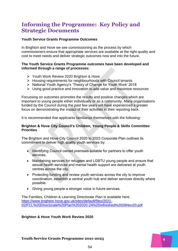### **Informing the Programme: Key Policy and Strategic Documents**

### **Youth Service Grants Programme Outcomes**

In Brighton and Hove we see commissioning as the process by which commissioners ensure that appropriate services are available at the right quality and cost to meet needs and deliver strategic outcomes now and into the future.

### **The Youth Service Grants Programme outcomes have been developed and informed through a range of processes:**

- **≻** Youth Work Review 2020 Brighton & Hove
- $\triangleright$  Housing requirements for neighbourhoods with Council tenants
- ▶ National Youth Agency's 'Theory of Change for Youth Work' 2018
- $\triangleright$  Using good practice and innovation to add value and maximise resources

Focussing on outcomes promotes the results and positive changes which are important to young people either individually or as a community. Many organisations funded by the Council during the past few years will have experienced a greater focus on demonstrating the impact of their activities in their reporting back.

It is recommended that applicants familiarise themselves with the following:

### **Brighton & Hove City Council's Children, Young People & Skills Committee Priorities**

The Brighton and Hove City Council 2020 to 2023 Corporate Plan outlines its commitment to deliver high quality youth services by:

- Identifying Council owned premises suitable for partners to offer youth services.
- Maintaining services for refugees and LGBTU young people and ensure that sexual health services and mental health support are delivered at youth centres across the city.
- Protecting funding and review youth services across the city to improve coordination, establish a central youth hub and deliver services directly where possible.
- Giving young people a stronger voice in future services.

The Families, Children & Learning Directorate Plan is available here. [https://www.brighton-hove.gov.uk/sites/default/files/2021-](https://www.brighton-hove.gov.uk/sites/default/files/2021-02/FCL%20Directorate%20Plan%202020-24%20refreshed%2026Nov20.pdf) [02/FCL%20Directorate%20Plan%202020-24%20refreshed%2026Nov20.pdf](https://www.brighton-hove.gov.uk/sites/default/files/2021-02/FCL%20Directorate%20Plan%202020-24%20refreshed%2026Nov20.pdf)

### **Brighton & Hove Youth Work Review 2020**

54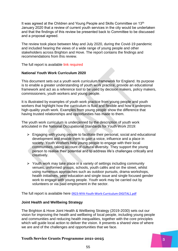It was agreed at the Children and Young People and Skills Committee on 13<sup>th</sup> January 2020 that a review of current youth services in the city would be undertaken and that the findings of this review be presented back to Committee to be discussed and a proposal agreed.

The review took place between May and July 2020, during the Covid-19 pandemic and included hearing the views of a wide range of young people and other stakeholders across Brighton and Hove. The report contains the findings and recommendations from this review.

The full report is available link required

### **National Youth Work Curriculum 2020**

This document sets out a youth work curriculum framework for England. Its purpose is to enable a greater understanding of youth work practice, provide an educational framework and act as a reference tool to be used by decision makers, policy makers, commissioners, youth workers and young people.

It is illustrated by examples of youth work practice from young people and youth workers that highlight how the curriculum is fluid and flexible and how it underpins high-quality youth work. Examples from young people show the difference that having trusted relationships and opportunities has made to them.

The youth work curriculum is underpinned by the description of youth work articulated in the National Occupational Standards for Youth Work 2019:

- $\triangleright$  Engaging with young people to facilitate their personal, social and educational development and enable them to gain a voice, influence and a place in society. Youth Workers help young people to engage with their local communities, taking account of cultural diversity. They support the young person to realise their potential and to address life's challenges critically and creatively.
- $\triangleright$  Youth work may take place in a variety of settings including community venues, uniformed groups, schools, youth cafés and on the street, whilst using numerous approaches such as outdoor pursuits, drama workshops, health initiatives, peer education and single issue and single focused gender work to engage with young people. Youth work may be carried out by volunteers or via paid employment in the sector.

The full report is available here [0923-NYA-Youth-Work-Curriculum-DIGITAL1.pdf](https://nya.org.uk/wp-content/uploads/2020/09/0923-NYA-Youth-Work-Curriculum-DIGITAL1.pdf)

### **Joint Health and Wellbeing Strategy**

The Brighton & Hove Joint Health & Wellbeing Strategy (2019-2030) sets out our vision for improving the health and wellbeing of local people, including young people and communities and reducing health inequalities, together with the core principles which will guide local action to deliver the vision. It presents a shared view of where we are and of the challenges and opportunities that we face.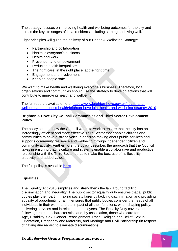The strategy focuses on improving health and wellbeing outcomes for the city and across the key life stages of local residents including starting and living well.

Eight principles will guide the delivery of our Health & Wellbeing Strategy:

- Partnership and collaboration
- Health is everyone's business
- Health and work
- Prevention and empowerment
- Reducing health inequalities
- The right care, in the right place, at the right time
- Engagement and involvement
- Keeping people safe

We want to make health and wellbeing everyone's business. Therefore, local organisations and communities should use the strategy to develop actions that will contribute to improving health and wellbeing.

The full report is available here, [https://www.brighton-hove.gov.uk/health-and](https://www.brighton-hove.gov.uk/health-and-wellbeing/about-public-health/brighton-hove-joint-health-and-wellbeing-strategy-2019)[wellbeing/about-public-health/brighton-hove-joint-health-and-wellbeing-strategy-2019](https://www.brighton-hove.gov.uk/health-and-wellbeing/about-public-health/brighton-hove-joint-health-and-wellbeing-strategy-2019)

### **Brighton & Hove City Council Communities and Third Sector Development Policy**

The policy sets out how the Council wants to work to ensure that the city has an increasingly efficient and more effective Third Sector that enables citizens and communities to have a strong voice in decision making about public services and supports community resilience and wellbeing through independent citizen and community activity. Furthermore, the policy describes the approach that the Council takes in ensuring that its culture and systems enable a collaborative and productive relationship with the Third Sector so as to make the best use of its flexibility, creativity and added value.

The full policy is available **[here](http://www.brighton-hove.gov.uk/sites/brighton-hove.gov.uk/files/BHCCcommunitiesandthirdsectorpolicy%202014-20.pdf)**.

### **Equalities**

The Equality Act 2010 simplifies and strengthens the law around tackling discrimination and inequality. The public sector equality duty ensures that all public bodies play their part in making society fairer by tackling discrimination and providing equality of opportunity for all. It ensures that public bodies consider the needs of all individuals in their work, and the impact of all their functions, when shaping policy, delivering services and in relation to employees. The Equality Duty covers the following protected characteristics and, by association, those who care for them: Age, Disability, Sex, Gender Reassignment, Race, Religion and Belief, Sexual Orientation, Pregnancy and Maternity, and Marriage and Civil Partnership (in respect of having due regard to eliminate discrimination).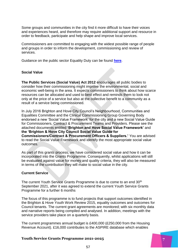Some groups and communities in the city find it more difficult to have their voices and experiences heard, and therefore may require additional support and resource in order to feedback, participate and help shape and improve local services.

Commissioners are committed to engaging with the widest possible range of people and groups in order to inform the development, commissioning and review of services.

Guidance on the public sector Equality Duty can be found **[here](https://www.equalityhumanrights.com/en/advice-and-guidance/public-sector-equality-duty-guidance)**.

### **Social Value**

**The Public Services (Social Value) Act 2012** encourages all public bodies to consider how their commissioning might improve the environmental, social and economic well-being in the area. It expects commissioners to think about how scarce resources can be allocated and used to best effect and reminds them to look not only at the price of a service but also at the collective benefit to a community as a result of a service being commissioned.

In July 2016 Brighton and Hove City Council's Neighbourhood, Communities and Equalities Committee and the Clinical Commissioning Group Governing Body endorsed a new 'Social Value Framework' for the city and a new Social Value Guide for Commissioners, Contract & Procurement Teams and Providers. Please see the attached documents entitled **'Brighton and Hove Social Value Framework'** and **the 'Brighton & Hove City Council Social Value Guide for Commissioners/Contract & Procurement Officers & Suppliers.'** You are advised to read the Social Value Framework and identify the most appropriate social value outcomes.

As part of this grants process, we have considered social value and how it can be incorporated into the Grants Programme. Consequently, whilst applications will still be evaluated against value for money and quality criteria, they will also be measured in terms of the contribution they will make to social value in the city.

### **Current Service**

The current Youth Service Grants Programme is due to come to an end 30th September 2021, after it was agreed to extend the current Youth Service Grants Programme for a further 6 months

The focus of this programme is to fund projects that support outcomes identified in the Brighton & Hove Youth Work Review 2015, equality outcomes and outcomes for Council tenants. The current grant agreements are monitored; with six monthly data and narrative reports being compiled and analysed. In addition, meetings with the service providers take place on a quarterly basis.

The current programmes annual budget is £400,000 (£250,000 from the Housing Revenue Account). £16,000 contributes to the ASPIRE database which enables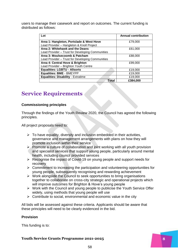users to manage their casework and report on outcomes. The current funding is distributed as follows:

| Lot                                              | <b>Annual contribution</b> |
|--------------------------------------------------|----------------------------|
| Area 1: Hangleton, Portslade & West Hove         | £79,000                    |
| Lead Provider - Hangleton & Knoll Project        |                            |
| Area 2: Whitehawk and the Deans                  | £61,000                    |
| Lead Provider - Trust for Developing Communities |                            |
| Area 3: Moulsecoomb & Patcham                    | £88,000                    |
| Lead Provider - Trust for Developing Communities |                            |
| Area 4: Central Hove & Brighton                  | £99,000                    |
| Lead Provider - Brighton Youth Centre            |                            |
| <b>Equalities: LGBTU - Allsorts</b>              | £19,000                    |
| <b>Equalities: BME - BMEYPP</b>                  | £19,000                    |
| <b>Equalities: Disability - Extratime</b>        | £19,000                    |
| Total                                            | £384,000                   |

## **Service Requirements**

### **Commissioning principles**

Through the findings of the Youth Review 2020, the Council has agreed the following principles.

All project proposals need to:

- $\triangleright$  To have equality, diversity and inclusion embedded in their activities, governance and management arrangements with plans on how they will promote inclusion within their service
- $\triangleright$  Promote a culture of collaboration and joint working with all youth provision and specialist services that support young people, particularly around mental health, including council provided services
- $\triangleright$  Recognise the impact of Covid-19 on young people and support needs for recovery
- $\triangleright$  Commitment to increasing the participation and volunteering opportunities for young people, subsequently recognising and rewarding achievement
- $\triangleright$  Work alongside the Council to seek opportunities to bring organisations together to collaborate on cross-city strategic and operational projects which will improve outcomes for Brighton & Hove's young people
- $\triangleright$  Work with the Council and young people to publicise the Youth Service Offer widely, using methods that young people will use
- $\triangleright$  Contribute to social, environmental and economic value in the city

All bids will be assessed against these criteria. Applicants should be aware that these principles will need to be clearly evidenced in the bid.

### **Provision**

This funding is to: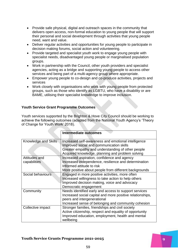- Provide safe physical, digital and outreach spaces in the community that delivers open access, non-formal education to young people that will support their personal and social development through activities that young people need, want and value.
- Deliver regular activities and opportunities for young people to participate in decision making forums, social action and volunteering.
- Provide targeted and specialist youth work to engage young people with specialist needs, disadvantaged young people or marginalised population groups.
- Work in partnership with the Council, other youth providers and specialist agencies, acting as a bridge and supporting young people to access other services and being part of a multi-agency group where appropriate.
- Empower young people to co-design and co-produce activities, projects and services
- Work closely with organisations who work with young people from protected groups, such as those who identify as LGBTU, who have a disability or are BAME, utilising their specialist knowledge to improve inclusion.

### **Youth Service Grant Programme Outcomes**

Youth services supported by the Brighton & Hove City Council should be working to achieve the following outcomes (adapted from the National Youth Agency's 'Theory of Change for Youth Work' 2018).

|                      | <b>Intermediate outcomes</b>                              |
|----------------------|-----------------------------------------------------------|
|                      |                                                           |
| Knowledge and Skills | Increased self-awareness and emotional intelligence       |
|                      | Improved social and communication skills                  |
|                      | Greater empathy and understanding of other people         |
|                      | Acquired knowledge, planning and problem solving          |
| Attitudes and        | Increased aspiration, confidence and agency               |
| capabilities         | Increased independence, resilience and determination      |
|                      | Informed attitude to risk                                 |
|                      | More positive about people from different backgrounds     |
| Social behaviours    | Engaged in more positive activities, more often           |
|                      | Increased willingness to take action to help others       |
|                      | Improved decision making, voice and advocacy              |
|                      | Democratic engagement                                     |
| Community            | Needs identified early and access to support services     |
|                      | Increased social capital and more positive relationships, |
|                      | peers and intergenerational                               |
|                      | Increased sense of belonging and community cohesion       |
| Collective impact    | Stronger families, friendships and civil society          |
|                      | Active citizenship, respect and equality of opportunity   |
|                      | Improved education, employment, health and mental         |
|                      | wellbeing                                                 |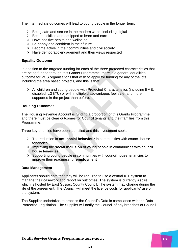The intermediate outcomes will lead to young people in the longer term:

- $\triangleright$  Being safe and secure in the modern world, including digital
- $\triangleright$  Become skilled and equipped to learn and earn
- $\triangleright$  Have positive health and wellbeing
- $\triangleright$  Be happy and confident in their future
- $\triangleright$  Become active in their communities and civil society
- $\triangleright$  Have democratic engagement and their views respected

### **Equality Outcome**

In addition to the targeted funding for each of the three protected characteristics that are being funded through this Grants Programme, there is a general equalities outcome for VCS organisations that wish to apply for funding for any of the lots, including the area based projects, and this is that:

 $\triangleright$  All children and young people with Protected Characteristics (including BME, disabled, LGBTU) or with multiple disadvantages feel safer and more supported in the project than before.

### **Housing Outcomes**

The Housing Revenue Account is funding a proportion of this Grants Programme and there must be clear outcomes for Council tenants and their families from this Programme.

Three key priorities have been identified and this investment seeks:

- The reduction in **anti-social behaviour** in communities with council house tenancies
- Improving the **social inclusion** of young people in communities with council house tenancies
- $\triangleright$  Supporting young people in communities with council house tenancies to improve their readiness for **employment**

### **Data Management**

Applicants should note that they will be required to use a central ICT system to manage their casework and report on outcomes. The system is currently Aspire which is hosted by East Sussex County Council. The system may change during the life of the agreement. The Council will meet the licence costs for applicants' use of the system.

The Supplier undertakes to process the Council's Data in compliance with the Data Protection Legislation. The Supplier will notify the Council of any breaches of Council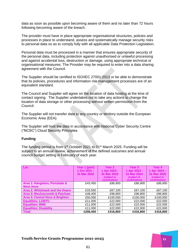data as soon as possible upon becoming aware of them and no later than 72 hours following becoming aware of the breach.

The provider must have in place appropriate organisational structures, policies and processes in place to understand, assess and systematically manage security risks to personal data so as to comply fully with all applicable Data Protection Legislation.

Personal data must be processed in a manner that ensures appropriate security of the personal data, including protection against unauthorised or unlawful processing and against accidental loss, destruction or damage, using appropriate technical or organisational measures. The Provider may be required to enter into a data sharing agreement with the Council.

The Supplier should be certified to ISO/IEC 27001:2013 or be able to demonstrate that its policies, procedures and information risk management processes are of an equivalent standard.

The Council and Supplier will agree on the location of data hosting at the time of contact signing. The Supplier undertakes not to take any actions to change the location of data storage or other processing without written permission from the Council.

The Supplier will not transfer data to any country or territory outside the European Economic Area (EEA).

The Supplier will host the data in accordance with National Cyber Security Centre ("NCSC") Cloud Security Principles.

### **Funding**

The funding period is from 1st October 2021 to 31st March 2025. Funding will be subject to an annual review, achievement of the defined outcomes and annual council budget setting in February of each year.

| Lot                             | Year 1 (part) | Year <sub>2</sub> | Year <sub>3</sub> | Year 4        |
|---------------------------------|---------------|-------------------|-------------------|---------------|
|                                 | 1 Oct 2021 -  | 1 Apr 2022 -      | 1 Apr 2023 -      | 1 Apr 2024 -  |
|                                 | 31 Mar 2022   | 31 Mar 2023       | 31 Mar 2024       | 31 Mar 2025   |
|                                 |               | (subject to       | (subject to       | (subject to   |
|                                 |               | confirmation)     | confirmation)     | confirmation) |
| Area 1: Hangleton, Portslade &  | £43,450       | £86,900           | £86,900           | £86,900       |
| <b>West Hove</b>                |               |                   |                   |               |
| Area 2: Whitehawk and the Deans | £33,550       | £67,100           | £67,100           | £67,100       |
| Area 3: Moulsecoomb & Patcham   | £48,400       | £96,800           | £96,800           | £96,800       |
| Area 4: Central Hove & Brighton | £50,000       | £100,000          | £100,000          | £100,000      |
| <b>Equalities: LGBTU</b>        | £11,000       | £22,000           | £22,000           | £22,000       |
| <b>Equalities: BME</b>          | £11,000       | £22,000           | £22,000           | £22,000       |
| <b>Equalities: Disability</b>   | £11,000       | £22,000           | £22,000           | £22,000       |
| <b>Total</b>                    | £208,400      | £416,800          | £416,800          | £416,800      |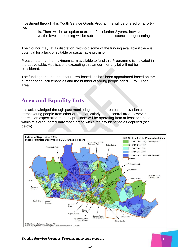Investment through this Youth Service Grants Programme will be offered on a fortytwo

month basis. There will be an option to extend for a further 2 years, however, as noted above, the levels of funding will be subject to annual council budget setting.

The Council may, at its discretion, withhold some of the funding available if there is potential for a lack of suitable or sustainable provision.

Please note that the maximum sum available to fund this Programme is indicated in the above table. Applications exceeding this amount for any lot will not be considered.

The funding for each of the four area-based lots has been apportioned based on the number of council tenancies and the number of young people aged 11 to 19 per area.

### **Area and Equality Lots**

It is acknowledged through past monitoring data that area based provision can attract young people from other areas, particularly in the central area, however, there is an expectation that any providers will be operating from at least one base within this area, particularly those areas within the city identified as deprived (see below).

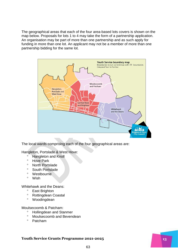The geographical areas that each of the four area-based lots covers is shown on the map below. Proposals for lots 1 to 4 may take the form of a partnership application. An organisation may be part of more than one partnership and as such apply for funding in more than one lot. An applicant may not be a member of more than one partnership bidding for the same lot.



The local wards comprising each of the four geographical areas are:

Hangleton, Portslade & West Hove:

- <sup>o</sup> Hangleton and Knoll
- <sup>o</sup> Hove Park
- North Portslade
- South Portslade
- Westbourne
- Wish

Whitehawk and the Deans:

- East Brighton
- Rottingdean Coastal
- Woodingdean

Moulsecoomb & Patcham:

- <sup>o</sup> Hollingdean and Stanmer
- Moulsecoomb and Bevendean
- $\circ$  Patcham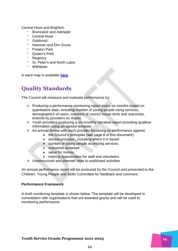Central Hove and Brighton:

- Brunswick and Adelaide
- <sup>o</sup> Central Hove
- <sup>o</sup> Goldsmid
- <sup>o</sup> Hanover and Elm Grove
- Preston Park
- <sup>o</sup> Queen's Park
- <sup>o</sup> Regency
- <sup>o</sup> St. Peter's and North Laine
- Withdean

A ward map is available **[here](https://www.brighton-hove.gov.uk/sites/brighton-hove.gov.uk/files/9365%20councillor%20ward%20maps_Aug%202016.pdf)**.

# **Quality Standards**

The Council will measure and evaluate performance by:

- $\triangleright$  Producing a performance monitoring report every six months based on quantitative data, including number of young people using services, demographics of users, numbers of council house tents and outcomes, entered by providers on Aspire.
- $\triangleright$  Youth providers producing a six-monthly narrative report providing qualitive information using an agreed template
- $\triangleright$  An annual review with each provider focussing on performance against:
	- the Council's principles (see page 8 of this document)
	- service provision, including where it is based
	- number of young people accessing services
	- outcomes achieved
	- value for money
	- training opportunities for staff and volunteers
- $\triangleright$  Unannounced and planned visits to publicised activities

An annual performance report will be produced by the Council and presented to the Children, Young People and Skills Committee for feedback and comment.

### **Performance Framework**

A draft monitoring template is shown below. The template will be developed in consultation with organisations that are awarded grants and will be used to monitoring performance.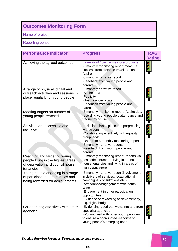# **Outcomes Monitoring Form**

Name of project:

Reporting period:

| <b>Performance Indicator</b>                                                                                        | <b>Progress</b>                                                                                                                                                                                                                                                                            | <b>RAG</b><br><b>Rating</b> |
|---------------------------------------------------------------------------------------------------------------------|--------------------------------------------------------------------------------------------------------------------------------------------------------------------------------------------------------------------------------------------------------------------------------------------|-----------------------------|
| Achieving the agreed outcomes                                                                                       | Example of how we measure progress<br>-6 monthly monitoring report measure<br>success from distance travel tool on<br>Aspire<br>-6 monthly narrative report<br>-Feedback from young people and<br>parents                                                                                  |                             |
| A range of physical, digital and<br>outreach activities and sessions in<br>place regularly for young people         | -6 monthly narrative report<br>-Aspire data<br>-Publicity<br>-Unannounced visits<br>-Feedback from young people and<br>parents                                                                                                                                                             |                             |
| Meeting targets on number of<br>young people reached                                                                | -6 monthly monitoring report (Aspire data<br>recording young people's attendance and<br>frequency of use                                                                                                                                                                                   |                             |
| Activities are accessible and<br>inclusive                                                                          | -Inclusion plan in place and progressing<br>with actions<br>-Collaborating effectively with equality<br>group leads<br>-Data from 6 monthly monitoring report<br>-6 monthly narrative reports<br>-Feedback from young people and<br>parents                                                |                             |
| Reaching and targeting young<br>people living in the highest areas<br>of deprivation and council house<br>tenancies | -6 monthly monitoring report (reports via<br>postcodes, numbers living in council<br>house tenancies and living in areas of<br>high deprivation)                                                                                                                                           |                             |
| Young people engaging in a range<br>of participation opportunities and<br>being rewarded for achievements           | -6 monthly narrative report (involvement<br>in delivery of services, local/national<br>campaigns, consultations etc.)<br>-Attendance/engagement with Youth<br>Wise<br>-Engagement in other participation<br>opportunities<br>-Evidence of rewarding achievement by,<br>e.g. digital badges |                             |
| Collaborating effectively with other<br>agencies                                                                    | -Evidencing good pathways into and from<br>specialist agencies<br>-Working well with other youth providers<br>to ensure a coordinated response to<br>young people's emerging need                                                                                                          |                             |

### **Youth Service Grants Programme 2021-2025 15**

65